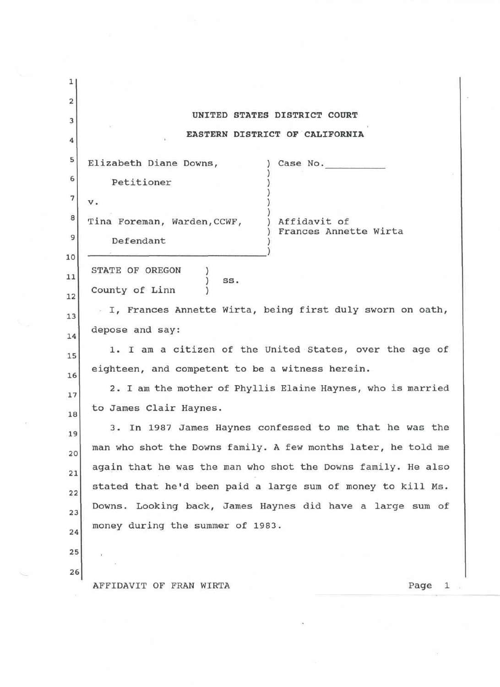| 1                       |                                                               |
|-------------------------|---------------------------------------------------------------|
| $\overline{\mathbf{c}}$ |                                                               |
| 3                       | UNITED STATES DISTRICT COURT                                  |
| 4                       | EASTERN DISTRICT OF CALIFORNIA                                |
| 5                       | Elizabeth Diane Downs,<br>Case No.                            |
| 6                       | Petitioner                                                    |
| $\sqrt{7}$              | v.                                                            |
| 8                       | Tina Foreman, Warden, CCWF,<br>Affidavit of                   |
| 9                       | Frances Annette Wirta<br>Defendant                            |
| 10                      |                                                               |
| 11                      | STATE OF OREGON<br>SS.                                        |
| 12                      | County of Linn                                                |
| 13                      | I, Frances Annette Wirta, being first duly sworn on oath,     |
| 14                      | depose and say:                                               |
| 15                      | 1. I am a citizen of the United States, over the age of       |
| 16                      | eighteen, and competent to be a witness herein.               |
| 17                      | 2. I am the mother of Phyllis Elaine Haynes, who is married   |
| 18                      | to James Clair Haynes.                                        |
| 19                      | 3. In 1987 James Haynes confessed to me that he was the       |
| 20                      | man who shot the Downs family. A few months later, he told me |
| 21                      | again that he was the man who shot the Downs family. He also  |
| 22                      | stated that he'd been paid a large sum of money to kill Ms.   |
| 23                      | Downs. Looking back, James Haynes did have a large sum of     |
| 24                      | money during the summer of 1983.                              |
| 25                      |                                                               |
| 26                      |                                                               |
|                         | AFFIDAVIT OF FRAN WIRTA<br>Page<br>$\mathbf{1}$               |

 $\left\langle \widehat{A}\right\rangle$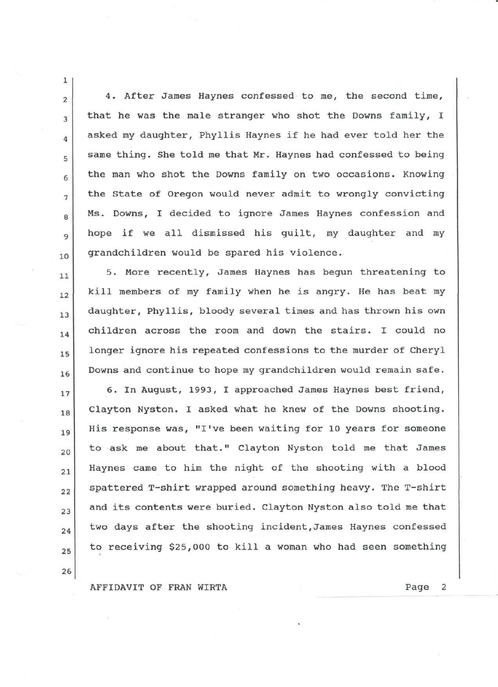$2$  4. After James Haynes confessed to me, the second time,  $_3$  that he was the male stranger who shot the Downs family, I  $_4$  asked my daughter, Phyllis Haynes if he had ever told her the  $_{5}$  same thing. She told me that Mr. Haynes had confessed to being  $6$  the man who shot the Downs family on two occasions. Knowing  $7$  the State of Oregon would never admit to wrongly convicting  $\alpha$  Ms. Downs, I decided to ignore James Haynes confession and g hope if we all dismissed his guilt, my daughter and my 10 grandchildren would be spared his violence.

5. More recently, James Haynes has begun threatening to  $11$  $_{12}$  kill members of my family when he is angry. He has beat my daughter, Phyllis, bloody several times and has thrown his own  $13$  $_{14}$  children across the room and down the stairs. I could no 15 longer ignore his repeated confessions to the murder of Cheryl 16 Downs and continue to hope my grandchildren would remain safe. 17 6. In August, 1993, I approached James Haynes best friend, 18 Clayton Nyston. I asked what he knew of the Downs shooting.  $_{19}$  His response was, "I've been waiting for 10 years for someone to ask me about that." Clayton Nyston told me that James 20 Haynes came to him the night of the shooting with a blood  $21$ 22 spattered T-shirt wrapped around something heavy. The T-shirt  $_{23}$  and its contents were buried. Clayton Nyston also told me that  $_{24}$  two days after the shooting incident, James Haynes confessed  $_{25}$  to receiving \$25,000 to kill a woman who had seen something

AFFIDAVIT OF FRAN WIRTA **Example 2** Page 2

**26**

1